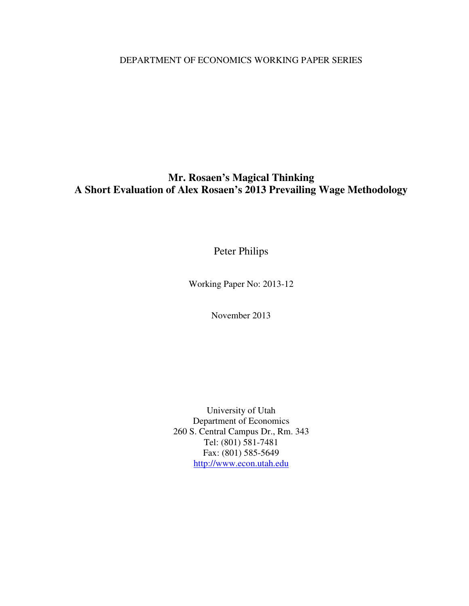DEPARTMENT OF ECONOMICS WORKING PAPER SERIES

### **Mr. Rosaen's Magical Thinking A Short Evaluation of Alex Rosaen's 2013 Prevailing Wage Methodology**

Peter Philips

Working Paper No: 2013-12

November 2013

University of Utah Department of Economics 260 S. Central Campus Dr., Rm. 343 Tel: (801) 581-7481 Fax: (801) 585-5649 http://www.econ.utah.edu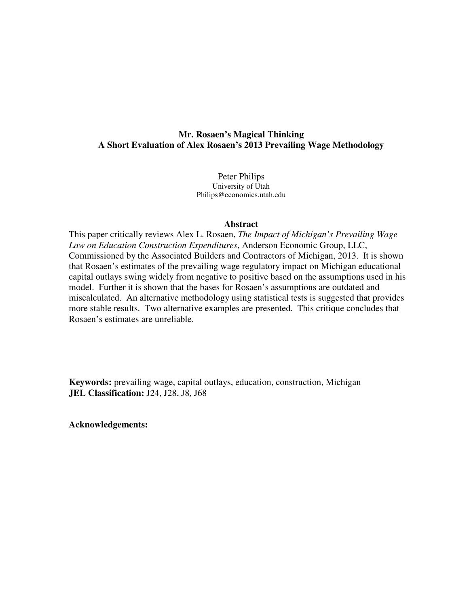#### **Mr. Rosaen's Magical Thinking A Short Evaluation of Alex Rosaen's 2013 Prevailing Wage Methodology**

Peter Philips University of Utah Philips@economics.utah.edu

#### **Abstract**

This paper critically reviews Alex L. Rosaen, *The Impact of Michigan's Prevailing Wage Law on Education Construction Expenditures*, Anderson Economic Group, LLC, Commissioned by the Associated Builders and Contractors of Michigan, 2013. It is shown that Rosaen's estimates of the prevailing wage regulatory impact on Michigan educational capital outlays swing widely from negative to positive based on the assumptions used in his model. Further it is shown that the bases for Rosaen's assumptions are outdated and miscalculated. An alternative methodology using statistical tests is suggested that provides more stable results. Two alternative examples are presented. This critique concludes that Rosaen's estimates are unreliable.

**Keywords:** prevailing wage, capital outlays, education, construction, Michigan **JEL Classification:** J24, J28, J8, J68

**Acknowledgements:**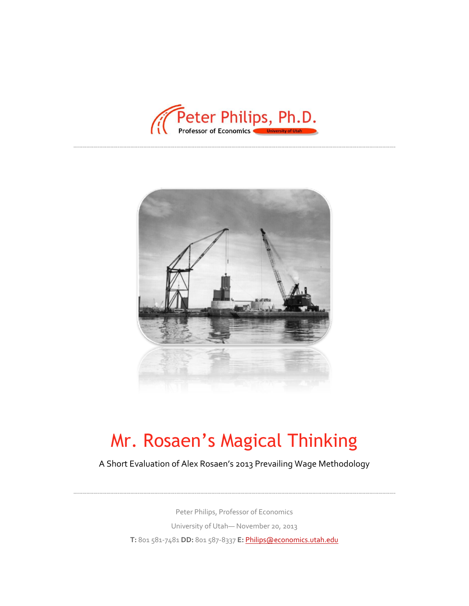



# Mr. Rosaen's Magical Thinking

A Short Evaluation of Alex Rosaen's 2013 Prevailing Wage Methodology

Peter Philips, Professor of Economics University of Utah— November 20, 2013 **T:** 801 581-7481 **DD:** 801 587-8337 **E:** [Philips@economics.utah.edu](mailto:Philips@economics.utah.edu)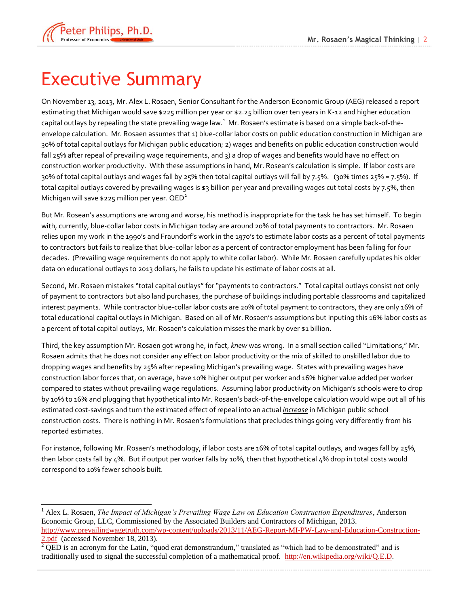

### <span id="page-3-0"></span>Executive Summary

On November 13, 2013, Mr. Alex L. Rosaen, Senior Consultant for the Anderson Economic Group (AEG) released a report estimating that Michigan would save \$225 million per year or \$2.25 billion over ten years in K-12 and higher education capital outlays by repealing the state prevailing wage law. $^1\,$  Mr. Rosaen's estimate is based on a simple back-of-theenvelope calculation. Mr. Rosaen assumes that 1) blue-collar labor costs on public education construction in Michigan are 30% of total capital outlays for Michigan public education; 2) wages and benefits on public education construction would fall 25% after repeal of prevailing wage requirements, and 3) a drop of wages and benefits would have no effect on construction worker productivity. With these assumptions in hand, Mr. Rosean's calculation is simple. If labor costs are 30% of total capital outlays and wages fall by 25% then total capital outlays will fall by 7.5%. (30% times 25% = 7.5%). If total capital outlays covered by prevailing wages is \$3 billion per year and prevailing wages cut total costs by 7.5%, then Michigan will save \$225 million per year.  $QED^2$ 

But Mr. Rosean's assumptions are wrong and worse, his method is inappropriate for the task he has set himself. To begin with, currently, blue-collar labor costs in Michigan today are around 20% of total payments to contractors. Mr. Rosaen relies upon my work in the 1990's and Fraundorf's work in the 1970's to estimate labor costs as a percent of total payments to contractors but fails to realize that blue-collar labor as a percent of contractor employment has been falling for four decades. (Prevailing wage requirements do not apply to white collar labor). While Mr. Rosaen carefully updates his older data on educational outlays to 2013 dollars, he fails to update his estimate of labor costs at all.

Second, Mr. Rosaen mistakes "total capital outlays" for "payments to contractors." Total capital outlays consist not only of payment to contractors but also land purchases, the purchase of buildings including portable classrooms and capitalized interest payments. While contractor blue-collar labor costs are 20% of total payment to contractors, they are only 16% of total educational capital outlays in Michigan. Based on all of Mr. Rosaen's assumptions but inputing this 16% labor costs as a percent of total capital outlays, Mr. Rosaen's calculation misses the mark by over \$1 billion.

Third, the key assumption Mr. Rosaen got wrong he, in fact, *knew* was wrong. In a small section called "Limitations," Mr. Rosaen admits that he does not consider any effect on labor productivity or the mix of skilled to unskilled labor due to dropping wages and benefits by 25% after repealing Michigan's prevailing wage. States with prevailing wages have construction labor forces that, on average, have 10% higher output per worker and 16% higher value added per worker compared to states without prevailing wage regulations. Assuming labor productivity on Michigan's schools were to drop by 10% to 16% and plugging that hypothetical into Mr. Rosaen's back-of-the-envelope calculation would wipe out all of his estimated cost-savings and turn the estimated effect of repeal into an actual *increase* in Michigan public school construction costs. There is nothing in Mr. Rosaen's formulations that precludes things going very differently from his reported estimates.

For instance, following Mr. Rosaen's methodology, if labor costs are 16% of total capital outlays, and wages fall by 25%, then labor costs fall by 4%. But if output per worker falls by 10%, then that hypothetical 4% drop in total costs would correspond to 10% fewer schools built.

 $\overline{a}$ <sup>1</sup> Alex L. Rosaen, *The Impact of Michigan's Prevailing Wage Law on Education Construction Expenditures*, Anderson Economic Group, LLC, Commissioned by the Associated Builders and Contractors of Michigan, 2013. [http://www.prevailingwagetruth.com/wp-content/uploads/2013/11/AEG-Report-MI-PW-Law-and-Education-Construction-](http://www.prevailingwagetruth.com/wp-content/uploads/2013/11/AEG-Report-MI-PW-Law-and-Education-Construction-2.pdf)[2.pdf](http://www.prevailingwagetruth.com/wp-content/uploads/2013/11/AEG-Report-MI-PW-Law-and-Education-Construction-2.pdf) (accessed November 18, 2013).

<sup>2</sup> QED is an acronym for the Latin, "quod erat demonstrandum," translated as "which had to be demonstrated" and is traditionally used to signal the successful completion of a mathematical proof. [http://en.wikipedia.org/wiki/Q.E.D.](http://en.wikipedia.org/wiki/Q.E.D)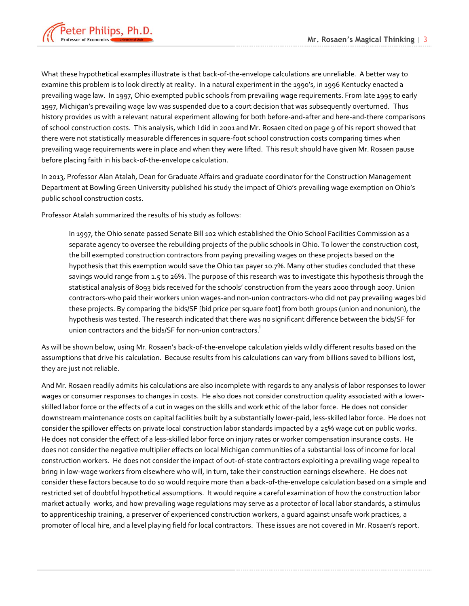

What these hypothetical examples illustrate is that back-of-the-envelope calculations are unreliable. A better way to examine this problem is to look directly at reality. In a natural experiment in the 1990's, in 1996 Kentucky enacted a prevailing wage law. In 1997, Ohio exempted public schools from prevailing wage requirements. From late 1995 to early 1997, Michigan's prevailing wage law was suspended due to a court decision that was subsequently overturned. Thus history provides us with a relevant natural experiment allowing for both before-and-after and here-and-there comparisons of school construction costs. This analysis, which I did in 2001 and Mr. Rosaen cited on page 9 of his report showed that there were not statistically measurable differences in square-foot school construction costs comparing times when prevailing wage requirements were in place and when they were lifted. This result should have given Mr. Rosaen pause before placing faith in his back-of-the-envelope calculation.

In 2013, Professor Alan Atalah, Dean for Graduate Affairs and graduate coordinator for the Construction Management Department at Bowling Green University published his study the impact of Ohio's prevailing wage exemption on Ohio's public school construction costs.

Professor Atalah summarized the results of his study as follows:

In 1997, the Ohio senate passed Senate Bill 102 which established the Ohio School Facilities Commission as a separate agency to oversee the rebuilding projects of the public schools in Ohio. To lower the construction cost, the bill exempted construction contractors from paying prevailing wages on these projects based on the hypothesis that this exemption would save the Ohio tax payer 10.7%. Many other studies concluded that these savings would range from 1.5 to 26%. The purpose of this research was to investigate this hypothesis through the statistical analysis of 8093 bids received for the schools' construction from the years 2000 through 2007. Union contractors-who paid their workers union wages-and non-union contractors-who did not pay prevailing wages bid these projects. By comparing the bids/SF [bid price per square foot] from both groups (union and nonunion), the hypothesis was tested. The research indicated that there was no significant difference between the bids/SF for union contractors and the bids/SF for non-union contractors.<sup>1</sup>

As will be shown below, using Mr. Rosaen's back-of-the-envelope calculation yields wildly different results based on the assumptions that drive his calculation. Because results from his calculations can vary from billions saved to billions lost, they are just not reliable.

And Mr. Rosaen readily admits his calculations are also incomplete with regards to any analysis of labor responses to lower wages or consumer responses to changes in costs. He also does not consider construction quality associated with a lowerskilled labor force or the effects of a cut in wages on the skills and work ethic of the labor force. He does not consider downstream maintenance costs on capital facilities built by a substantially lower-paid, less-skilled labor force. He does not consider the spillover effects on private local construction labor standards impacted by a 25% wage cut on public works. He does not consider the effect of a less-skilled labor force on injury rates or worker compensation insurance costs. He does not consider the negative multiplier effects on local Michigan communities of a substantial loss of income for local construction workers. He does not consider the impact of out-of-state contractors exploiting a prevailing wage repeal to bring in low-wage workers from elsewhere who will, in turn, take their construction earnings elsewhere. He does not consider these factors because to do so would require more than a back-of-the-envelope calculation based on a simple and restricted set of doubtful hypothetical assumptions. It would require a careful examination of how the construction labor market actually works, and how prevailing wage regulations may serve as a protector of local labor standards, a stimulus to apprenticeship training, a preserver of experienced construction workers, a guard against unsafe work practices, a promoter of local hire, and a level playing field for local contractors. These issues are not covered in Mr. Rosaen's report.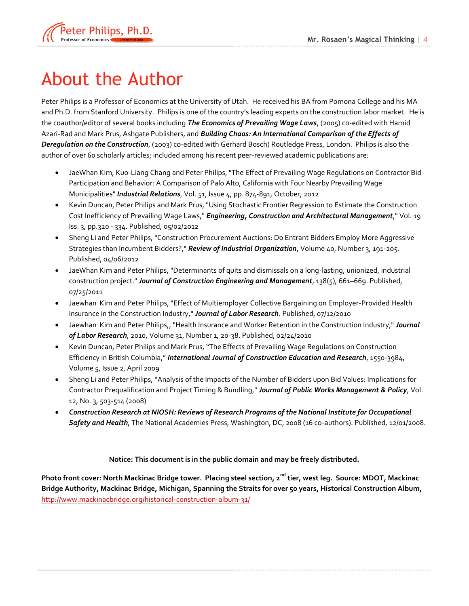

# <span id="page-5-0"></span>About the Author

Peter Philips is a Professor of Economics at the University of Utah. He received his BA from Pomona College and his MA and Ph.D. from Stanford University. Philips is one of the country's leading experts on the construction labor market. He is the coauthor/editor of several books including *The Economics of Prevailing Wage Laws*, (2005) co-edited with Hamid Azari-Rad and Mark Prus, Ashgate Publishers, and *Building Chaos: An International Comparison of the Effects of Deregulation on the Construction*, (2003) co-edited with Gerhard Bosch) Routledge Press, London. Philips is also the author of over 60 scholarly articles; included among his recent peer-reviewed academic publications are:

- JaeWhan Kim, Kuo-Liang Chang and Peter Philips, "The Effect of Prevailing Wage Regulations on Contractor Bid Participation and Behavior: A Comparison of Palo Alto, California with Four Nearby Prevailing Wage Municipalities" *Industrial Relations*, Vol. 51, Issue 4, pp. 874-891, October, 2012
- Kevin Duncan, Peter Philips and Mark Prus, "Using Stochastic Frontier Regression to Estimate the Construction Cost Inefficiency of Prevailing Wage Laws," *Engineering, Construction and Architectural Management*," Vol. 19 Iss: 3, pp.320 - 334. Published, 05/02/2012
- Sheng Li and Peter Philips, "Construction Procurement Auctions: Do Entrant Bidders Employ More Aggressive Strategies than Incumbent Bidders?," *Review of Industrial Organization*, Volume 40, Number 3, 191-205. Published, 04/06/2012
- JaeWhan Kim and Peter Philips, "Determinants of quits and dismissals on a long-lasting, unionized, industrial construction project." *Journal of Construction Engineering and Management*, 138(5), 661–669. Published, 07/25/2011
- Jaewhan Kim and Peter Philips, "Effect of Multiemployer Collective Bargaining on Employer-Provided Health Insurance in the Construction Industry," *Journal of Labor Research*. Published, 07/12/2010
- Jaewhan Kim and Peter Philips,, "Health Insurance and Worker Retention in the Construction Industry," *Journal of Labor Research*, 2010, Volume 31, Number 1, 20-38. Published, 02/24/2010
- Kevin Duncan, Peter Philips and Mark Prus, "The Effects of Prevailing Wage Regulations on Construction Efficiency in British Columbia," *International Journal of Construction Education and Research*, 1550-3984, Volume 5, Issue 2, April 2009
- Sheng Li and Peter Philips, "Analysis of the Impacts of the Number of Bidders upon Bid Values: Implications for Contractor Prequalification and Project Timing & Bundling," *Journal of Public Works Management & Policy*, Vol. 12, No. 3, 503-514 (2008)
- *Construction Research at NIOSH: Reviews of Research Programs of the National Institute for Occupational Safety and Health*, The National Academies Press, Washington, DC, 2008 (16 co-authors). Published, 12/01/2008.

**Notice: This document is in the public domain and may be freely distributed.**

**Photo front cover: North Mackinac Bridge tower. Placing steel section, 2nd tier, west leg. Source: MDOT, Mackinac Bridge Authority, Mackinac Bridge, Michigan, Spanning the Straits for over 50 years, Historical Construction Album,**  <http://www.mackinacbridge.org/historical-construction-album-31/>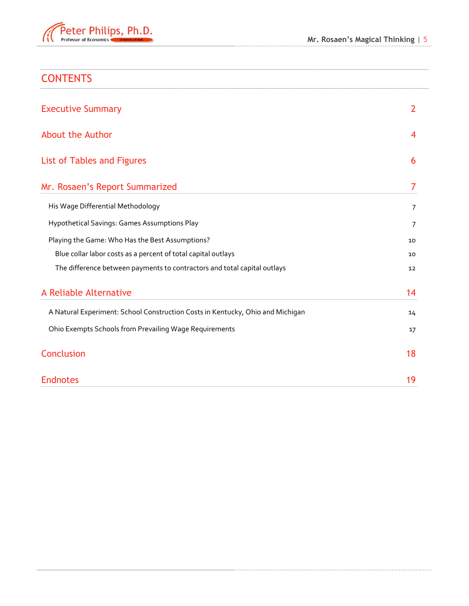

| <b>CONTENTS</b>                                                                |                |
|--------------------------------------------------------------------------------|----------------|
| <b>Executive Summary</b>                                                       | $\overline{2}$ |
| <b>About the Author</b>                                                        | 4              |
| List of Tables and Figures                                                     | 6              |
| Mr. Rosaen's Report Summarized                                                 | 7              |
| His Wage Differential Methodology                                              | 7              |
| Hypothetical Savings: Games Assumptions Play                                   | 7              |
| Playing the Game: Who Has the Best Assumptions?                                | 10             |
| Blue collar labor costs as a percent of total capital outlays                  | 10             |
| The difference between payments to contractors and total capital outlays       | 12             |
| A Reliable Alternative                                                         | 14             |
| A Natural Experiment: School Construction Costs in Kentucky, Ohio and Michigan | 14             |
| Ohio Exempts Schools from Prevailing Wage Requirements                         | 17             |
| <b>Conclusion</b>                                                              | 18             |
| <b>Endnotes</b>                                                                | 19             |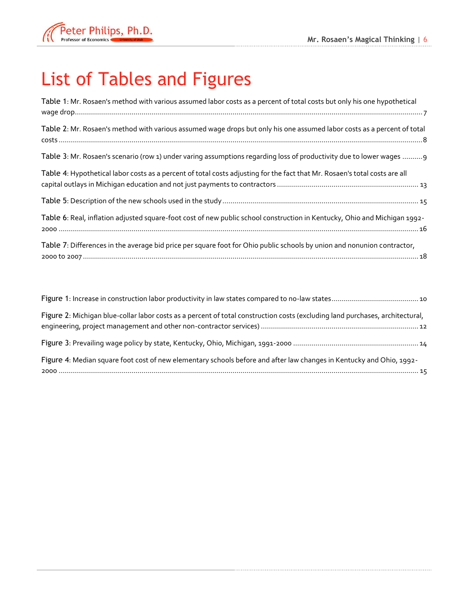

# <span id="page-7-0"></span>List of Tables and Figures

| Table 1: Mr. Rosaen's method with various assumed labor costs as a percent of total costs but only his one hypothetical    |  |
|----------------------------------------------------------------------------------------------------------------------------|--|
| Table 2: Mr. Rosaen's method with various assumed wage drops but only his one assumed labor costs as a percent of total    |  |
| Table 3: Mr. Rosaen's scenario (row 1) under varing assumptions regarding loss of productivity due to lower wages 9        |  |
| Table 4: Hypothetical labor costs as a percent of total costs adjusting for the fact that Mr. Rosaen's total costs are all |  |
|                                                                                                                            |  |
| Table 6: Real, inflation adjusted square-foot cost of new public school construction in Kentucky, Ohio and Michigan 1992-  |  |
| Table 7: Differences in the average bid price per square foot for Ohio public schools by union and nonunion contractor,    |  |

| Figure 2: Michigan blue-collar labor costs as a percent of total construction costs (excluding land purchases, architectural, |
|-------------------------------------------------------------------------------------------------------------------------------|
|                                                                                                                               |
| Figure 4: Median square foot cost of new elementary schools before and after law changes in Kentucky and Ohio, 1992-          |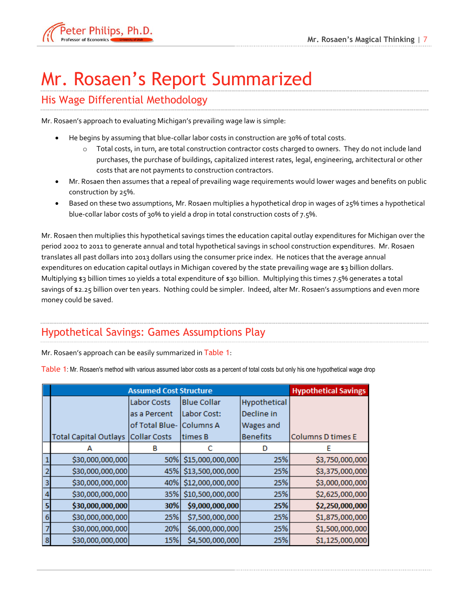

# <span id="page-8-0"></span>Mr. Rosaen's Report Summarized

#### <span id="page-8-1"></span>His Wage Differential Methodology

Mr. Rosaen's approach to evaluating Michigan's prevailing wage law is simple:

- He begins by assuming that blue-collar labor costs in construction are 30% of total costs.
	- o Total costs, in turn, are total construction contractor costs charged to owners. They do not include land purchases, the purchase of buildings, capitalized interest rates, legal, engineering, architectural or other costs that are not payments to construction contractors.
- Mr. Rosaen then assumes that a repeal of prevailing wage requirements would lower wages and benefits on public construction by 25%.
- Based on these two assumptions, Mr. Rosaen multiplies a hypothetical drop in wages of 25% times a hypothetical blue-collar labor costs of 30% to yield a drop in total construction costs of 7.5%.

Mr. Rosaen then multiplies this hypothetical savings times the education capital outlay expenditures for Michigan over the period 2002 to 2011 to generate annual and total hypothetical savings in school construction expenditures. Mr. Rosaen translates all past dollars into 2013 dollars using the consumer price index. He notices that the average annual expenditures on education capital outlays in Michigan covered by the state prevailing wage are \$3 billion dollars. Multiplying \$3 billion times 10 yields a total expenditure of \$30 billion. Multiplying this times 7.5% generates a total savings of \$2.25 billion over ten years. Nothing could be simpler. Indeed, alter Mr. Rosaen's assumptions and even more money could be saved.

### <span id="page-8-2"></span>Hypothetical Savings: Games Assumptions Play

Mr. Rosaen's approach can be easily summarized in [Table 1](#page-8-3):

<span id="page-8-3"></span>Table 1: Mr. Rosaen's method with various assumed labor costs as a percent of total costs but only his one hypothetical wage drop

|                | <b>Assumed Cost Structure</b> | <b>Hypothetical Savings</b>       |                      |                  |                   |
|----------------|-------------------------------|-----------------------------------|----------------------|------------------|-------------------|
|                |                               | Labor Costs<br><b>Blue Collar</b> |                      | Hypothetical     |                   |
|                |                               | as a Percent                      | Labor Cost:          | Decline in       |                   |
|                |                               | of Total Blue- Columns A          |                      | <b>Wages and</b> |                   |
|                | <b>Total Capital Outlays</b>  | <b>Collar Costs</b>               | times B              | <b>Benefits</b>  | Columns D times E |
|                | А                             | в                                 |                      | D                | F                 |
|                | \$30,000,000,000              | 50%                               | \$15,000,000,000     | 25%              | \$3,750,000,000   |
| $\overline{2}$ | \$30,000,000,000              |                                   | 45% \$13,500,000,000 | 25%              | \$3,375,000,000   |
| 3              | \$30,000,000,000              |                                   | 40% \$12,000,000,000 | 25%              | \$3,000,000,000   |
| 4              | \$30,000,000,000              | 35%                               | \$10,500,000,000     | 25%              | \$2,625,000,000   |
| 5              | \$30,000,000,000              | 30%                               | \$9,000,000,000      | 25%              | \$2,250,000,000   |
| 6              | \$30,000,000,000              | 25%                               | \$7,500,000,000      | 25%              | \$1,875,000,000   |
|                | \$30,000,000,000              | 20%                               | \$6,000,000,000      | 25%              | \$1,500,000,000   |
| 8              | \$30,000,000,000              | 15%                               | \$4,500,000,000      | 25%              | \$1,125,000,000   |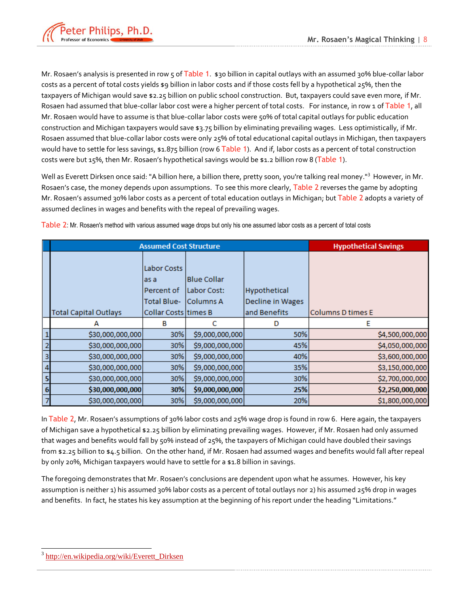

Mr. Rosaen's analysis is presented in row 5 of [Table 1](#page-8-3). \$30 billion in capital outlays with an assumed 30% blue-collar labor costs as a percent of total costs yields \$9 billion in labor costs and if those costs fell by a hypothetical 25%, then the taxpayers of Michigan would save \$2.25 billion on public school construction. But, taxpayers could save even more, if Mr. Rosaen had assumed that blue-collar labor cost were a higher percent of total costs. For instance, in row 1 of [Table 1](#page-8-3), all Mr. Rosaen would have to assume is that blue-collar labor costs were 50% of total capital outlays for public education construction and Michigan taxpayers would save \$3.75 billion by eliminating prevailing wages. Less optimistically, if Mr. Rosaen assumed that blue-collar labor costs were only 25% of total educational capital outlays in Michigan, then taxpayers would have to settle for less savings,  $\sharp 1.875$  billion (row 6 [Table 1](#page-8-3)). And if, labor costs as a percent of total construction costs were but 15%, then Mr. Rosaen's hypothetical savings would be \$1.2 billion row 8 ([Table 1](#page-8-3)).

Well as Everett Dirksen once said: "A billion here, a billion there, pretty soon, you're talking real money."<sup>3</sup> However, in Mr. Rosaen's case, the money depends upon assumptions. To see this more clearly, [Table 2](#page-9-0) reverses the game by adopting Mr. Rosaen's assumed 30% labor costs as a percent of total education outlays in Michigan; but [Table 2](#page-9-0) adopts a variety of assumed declines in wages and benefits with the repeal of prevailing wages.

|   | <b>Assumed Cost Structure</b> | <b>Hypothetical Savings</b>                             |                                                         |                                  |                          |  |
|---|-------------------------------|---------------------------------------------------------|---------------------------------------------------------|----------------------------------|--------------------------|--|
|   |                               | Labor Costs<br>as a<br>Percent of<br><b>Total Blue-</b> | <b>Blue Collar</b><br> Labor Cost: <br><b>Columns A</b> | Hypothetical<br>Decline in Wages |                          |  |
|   | <b>Total Capital Outlays</b>  | Collar Costs times B                                    |                                                         | and Benefits                     | <b>Columns D times E</b> |  |
|   | А                             | в                                                       |                                                         | D                                | E                        |  |
|   | \$30,000,000,000              | 30%                                                     | \$9,000,000,000                                         | 50%                              | \$4,500,000,000          |  |
| 2 | \$30,000,000,000              | 30%                                                     | \$9,000,000,000                                         | 45%                              | \$4,050,000,000          |  |
| з | \$30,000,000,000              | 30%                                                     | \$9,000,000,000                                         | 40%                              | \$3,600,000,000          |  |
| 4 | \$30,000,000,000              | 30%                                                     | \$9,000,000,000                                         | 35%                              | \$3,150,000,000          |  |
|   | \$30,000,000,000              | 30%                                                     | \$9,000,000,000                                         | 30%                              | \$2,700,000,000          |  |
| 6 | \$30,000,000,000              | 30%                                                     | \$9,000,000,000                                         | 25%                              | \$2,250,000,000          |  |
|   | \$30,000,000,000              | 30%                                                     | \$9,000,000,000                                         | 20%                              | \$1,800,000,000          |  |

<span id="page-9-0"></span>Table 2: Mr. Rosaen's method with various assumed wage drops but only his one assumed labor costs as a percent of total costs

In [Table 2](#page-9-0), Mr. Rosaen's assumptions of 30% labor costs and 25% wage drop is found in row 6. Here again, the taxpayers of Michigan save a hypothetical \$2.25 billion by eliminating prevailing wages. However, if Mr. Rosaen had only assumed that wages and benefits would fall by 50% instead of 25%, the taxpayers of Michigan could have doubled their savings from \$2.25 billion to \$4.5 billion. On the other hand, if Mr. Rosaen had assumed wages and benefits would fall after repeal by only 20%, Michigan taxpayers would have to settle for a \$1.8 billion in savings.

The foregoing demonstrates that Mr. Rosaen's conclusions are dependent upon what he assumes. However, his key assumption is neither 1) his assumed 30% labor costs as a percent of total outlays nor 2) his assumed 25% drop in wages and benefits. In fact, he states his key assumption at the beginning of his report under the heading "Limitations."

<sup>3</sup> [http://en.wikipedia.org/wiki/Everett\\_Dirksen](http://en.wikipedia.org/wiki/Everett_Dirksen)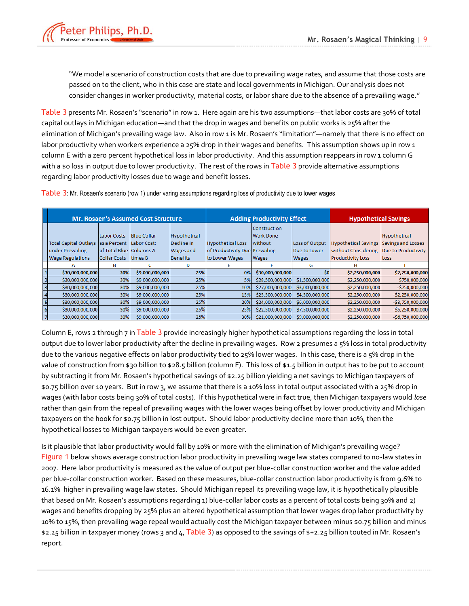

"We model a scenario of construction costs that are due to prevailing wage rates, and assume that those costs are passed on to the client, who in this case are state and local governments in Michigan. Our analysis does not consider changes in worker productivity, material costs, or labor share due to the absence of a prevailing wage."

[Table 3](#page-10-0) presents Mr. Rosaen's "scenario" in row 1. Here again are his two assumptions—that labor costs are 30% of total capital outlays in Michigan education—and that the drop in wages and benefits on public works is 25% after the elimination of Michigan's prevailing wage law. Also in row 1 is Mr. Rosaen's "limitation"—namely that there is no effect on labor productivity when workers experience a 25% drop in their wages and benefits. This assumption shows up in row 1 column E with a zero percent hypothetical loss in labor productivity. And this assumption reappears in row 1 column G with a \$0 loss in output due to lower productivity. The rest of the rows in [Table 3](#page-10-0) provide alternative assumptions regarding labor productivity losses due to wage and benefit losses.

|   | <b>Mr. Rosaen's Assumed Cost Structure</b> |                                |                    | <b>Adding Productivity Effect</b> |                                |                  | <b>Hypothetical Savings</b> |                             |                     |
|---|--------------------------------------------|--------------------------------|--------------------|-----------------------------------|--------------------------------|------------------|-----------------------------|-----------------------------|---------------------|
|   |                                            |                                |                    |                                   |                                | Construction     |                             |                             |                     |
|   |                                            | Labor Costs                    | <b>Blue Collar</b> | Hypothetical                      |                                | <b>Work Done</b> |                             |                             | Hypothetical        |
|   | <b>Total Capital Outlays</b>               | las a Percent Labor Cost:      |                    | Decline in                        | <b>Hypothetical Loss</b>       | without          | Loss of Output              | <b>Hypothetical Savings</b> | Savings and Losses  |
|   | under Prevailing                           | <b>of Total Blue-Columns A</b> |                    | <b>Wages and</b>                  | of Productivity Due Prevailing |                  | Due to Lower                | without Considering         | Due to Productivity |
|   | <b>Wage Regulations</b>                    | Collar Costs                   | times B            | Benefits                          | to Lower Wages                 | <b>Wages</b>     | <b>Wages</b>                | <b>Productivity Loss</b>    | Loss                |
|   |                                            | в                              |                    | Ð                                 |                                |                  | G                           | н                           |                     |
|   | \$30,000,000,000                           | 30%                            | \$9,000,000,000    | 25%                               | 0%                             | \$30,000,000,000 | S <sub>0</sub>              | \$2,250,000,000             | \$2,250,000,000     |
|   | \$30,000,000,000                           | 30%                            | \$9,000,000,000    | 25%                               | 5%                             | \$28,500,000,000 | \$1,500,000,000             | \$2,250,000,000             | \$750,000,000       |
| 3 | \$30,000,000,000                           | 30%                            | \$9,000,000,000    | 25%                               | 10%                            | \$27,000,000,000 | \$3,000,000,000             | \$2,250,000,000             | $-$750,000,000$     |
|   | \$30,000,000,000                           | 30%                            | \$9,000,000,000    | 25%                               | 15%                            | \$25,500,000,000 | \$4,500,000,000             | \$2,250,000,000             | $-$ \$2,250,000,000 |
| 5 | \$30,000,000,000                           | 30%                            | \$9,000,000,000    | 25%                               | 20%                            | \$24,000,000,000 | \$6,000,000,000             | \$2,250,000,000             | $-$ \$3,750,000,000 |
| 6 | \$30,000,000,000                           | 30%                            | \$9,000,000,000    | 25%                               | 25%                            | \$22,500,000,000 | \$7,500,000,000             | \$2,250,000,000             | $-$ \$5,250,000,000 |
|   | \$30,000,000,000                           | 30%                            | \$9,000,000,000    | 25%                               | 30%                            | \$21,000,000,000 | \$9,000,000,000             | \$2,250,000,000             | $-$6,750,000,000$   |

<span id="page-10-0"></span>Table 3: Mr. Rosaen's scenario (row 1) under varing assumptions regarding loss of productivity due to lower wages

Column E, rows 2 through 7 in [Table 3](#page-10-0) provide increasingly higher hypothetical assumptions regarding the loss in total output due to lower labor productivity after the decline in prevailing wages. Row 2 presumes a 5% loss in total productivity due to the various negative effects on labor productivity tied to 25% lower wages. In this case, there is a 5% drop in the value of construction from \$30 billion to \$28.5 billion (column F). This loss of \$1.5 billion in output has to be put to account by subtracting it from Mr. Rosaen's hypothetical savings of \$2.25 billion yielding a net savings to Michigan taxpayers of \$0.75 billion over 10 years. But in row 3, we assume that there is a 10% loss in total output associated with a 25% drop in wages (with labor costs being 30% of total costs). If this hypothetical were in fact true, then Michigan taxpayers would *lose*  rather than gain from the repeal of prevailing wages with the lower wages being offset by lower productivity and Michigan taxpayers on the hook for \$0.75 billion in lost output. Should labor productivity decline more than 10%, then the hypothetical losses to Michigan taxpayers would be even greater.

Is it plausible that labor productivity would fall by 10% or more with the elimination of Michigan's prevailing wage? [Figure 1](#page-11-2) below shows average construction labor productivity in prevailing wage law states compared to no-law states in 2007. Here labor productivity is measured as the value of output per blue-collar construction worker and the value added per blue-collar construction worker. Based on these measures, blue-collar construction labor productivity is from 9.6% to 16.1% higher in prevailing wage law states. Should Michigan repeal its prevailing wage law, it is hypothetically plausible that based on Mr. Rosaen's assumptions regarding 1) blue-collar labor costs as a percent of total costs being 30% and 2) wages and benefits dropping by 25% plus an altered hypothetical assumption that lower wages drop labor productivity by 10% to 15%, then prevailing wage repeal would actually cost the Michigan taxpayer between minus \$0.75 billion and minus \$2.25 billion in taxpayer money (rows 3 and 4, [Table 3](#page-10-0)) as opposed to the savings of \$+2.25 billion touted in Mr. Rosaen's report.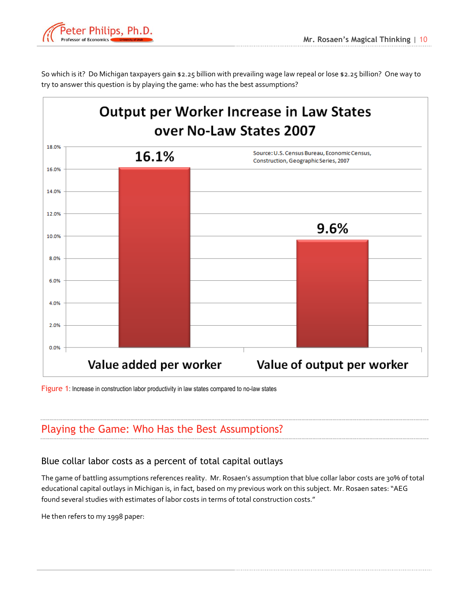

So which is it? Do Michigan taxpayers gain \$2.25 billion with prevailing wage law repeal or lose \$2.25 billion? One way to try to answer this question is by playing the game: who has the best assumptions?



<span id="page-11-2"></span>Figure 1: Increase in construction labor productivity in law states compared to no-law states

### <span id="page-11-0"></span>Playing the Game: Who Has the Best Assumptions?

#### <span id="page-11-1"></span>Blue collar labor costs as a percent of total capital outlays

The game of battling assumptions references reality. Mr. Rosaen's assumption that blue collar labor costs are 30% of total educational capital outlays in Michigan is, in fact, based on my previous work on this subject. Mr. Rosaen sates: "AEG found several studies with estimates of labor costs in terms of total construction costs."

He then refers to my 1998 paper: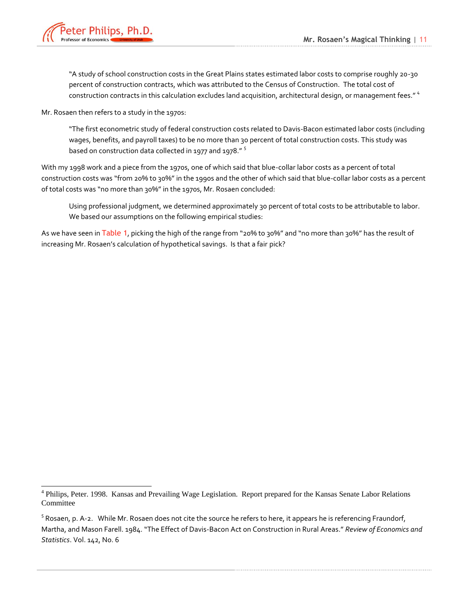

 $\overline{a}$ 

"A study of school construction costs in the Great Plains states estimated labor costs to comprise roughly 20-30 percent of construction contracts, which was attributed to the Census of Construction. The total cost of construction contracts in this calculation excludes land acquisition, architectural design, or management fees."<sup>4</sup>

Mr. Rosaen then refers to a study in the 1970s:

"The first econometric study of federal construction costs related to Davis-Bacon estimated labor costs (including wages, benefits, and payroll taxes) to be no more than 30 percent of total construction costs. This study was based on construction data collected in 1977 and 1978." <sup>5</sup>

With my 1998 work and a piece from the 1970s, one of which said that blue-collar labor costs as a percent of total construction costs was "from 20% to 30%" in the 1990s and the other of which said that blue-collar labor costs as a percent of total costs was "no more than 30%" in the 1970s, Mr. Rosaen concluded:

Using professional judgment, we determined approximately 30 percent of total costs to be attributable to labor. We based our assumptions on the following empirical studies:

As we have seen in [Table 1](#page-8-3), picking the high of the range from "20% to 30%" and "no more than 30%" has the result of increasing Mr. Rosaen's calculation of hypothetical savings. Is that a fair pick?

<sup>&</sup>lt;sup>4</sup> Philips, Peter. 1998. Kansas and Prevailing Wage Legislation. Report prepared for the Kansas Senate Labor Relations Committee

 $^5$  Rosaen, p. A-2. While Mr. Rosaen does not cite the source he refers to here, it appears he is referencing Fraundorf, Martha, and Mason Farell. 1984. "The Effect of Davis-Bacon Act on Construction in Rural Areas." *Review of Economics and Statistics*. Vol. 142, No. 6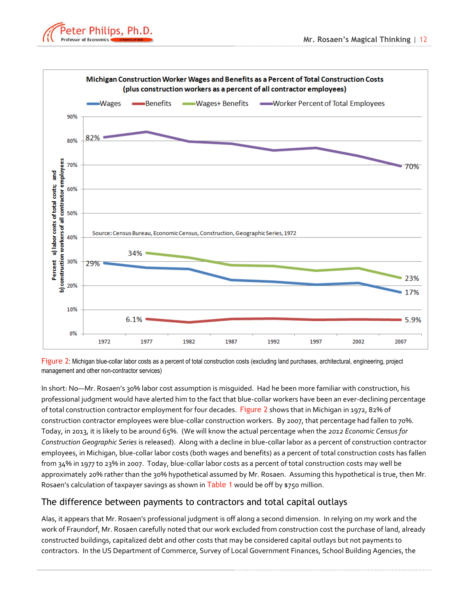



<span id="page-13-1"></span>Figure 2: Michigan blue-collar labor costs as a percent of total construction costs (excluding land purchases, architectural, engineering, project management and other non-contractor services)

In short: No—Mr. Rosaen's 30% labor cost assumption is misguided. Had he been more familiar with construction, his professional judgment would have alerted him to the fact that blue-collar workers have been an ever-declining percentage of total construction contractor employment for four decades. [Figure 2](#page-13-1) shows that in Michigan in 1972, 82% of construction contractor employees were blue-collar construction workers. By 2007, that percentage had fallen to 70%. Today, in 2013, it is likely to be around 65%. (We will know the actual percentage when the *2012 Economic Census for Construction Geographic Series* is released). Along with a decline in blue-collar labor as a percent of construction contractor employees, in Michigan, blue-collar labor costs (both wages and benefits) as a percent of total construction costs has fallen from 34% in 1977 to 23% in 2007. Today, blue-collar labor costs as a percent of total construction costs may well be approximately 20% rather than the 30% hypothetical assumed by Mr. Rosaen. Assuming this hypothetical is true, then Mr. Rosaen's calculation of taxpayer savings as shown in [Table 1](#page-8-3) would be off by \$750 million.

#### <span id="page-13-0"></span>The difference between payments to contractors and total capital outlays

Alas, it appears that Mr. Rosaen's professional judgment is off along a second dimension. In relying on my work and the work of Fraundorf, Mr. Rosaen carefully noted that our work excluded from construction cost the purchase of land, already constructed buildings, capitalized debt and other costs that may be considered capital outlays but not payments to contractors. In the US Department of Commerce, Survey of Local Government Finances, School Building Agencies, the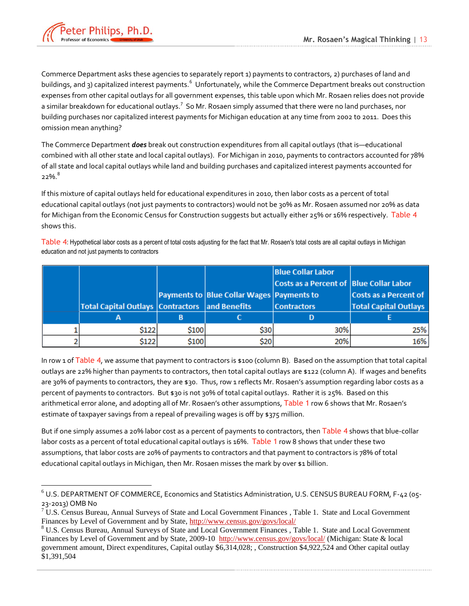

 $\overline{a}$ 

Commerce Department asks these agencies to separately report 1) payments to contractors, 2) purchases of land and buildings, and 3) capitalized interest payments.<sup>6</sup> Unfortunately, while the Commerce Department breaks out construction expenses from other capital outlays for all government expenses, this table upon which Mr. Rosaen relies does not provide a similar breakdown for educational outlays.<sup>7</sup> So Mr. Rosaen simply assumed that there were no land purchases, nor building purchases nor capitalized interest payments for Michigan education at any time from 2002 to 2011. Does this omission mean anything?

The Commerce Department *does* break out construction expenditures from all capital outlays (that is—educational combined with all other state and local capital outlays). For Michigan in 2010, payments to contractors accounted for 78% of all state and local capital outlays while land and building purchases and capitalized interest payments accounted for 22%. $^8$ 

If this mixture of capital outlays held for educational expenditures in 2010, then labor costs as a percent of total educational capital outlays (not just payments to contractors) would not be 30% as Mr. Rosaen assumed nor 20% as data for Michigan from the Economic Census for Construction suggests but actually either 25% or 16% respectively. [Table 4](#page-14-0) shows this.

<span id="page-14-0"></span>Table 4: Hypothetical labor costs as a percent of total costs adjusting for the fact that Mr. Rosaen's total costs are all capital outlays in Michigan education and not just payments to contractors

|                                                       |       |                                           | <b>Blue Collar Labor</b>                |                              |
|-------------------------------------------------------|-------|-------------------------------------------|-----------------------------------------|------------------------------|
|                                                       |       |                                           | Costs as a Percent of Blue Collar Labor |                              |
|                                                       |       | Payments to Blue Collar Wages Payments to |                                         | <b>Costs as a Percent of</b> |
| <b>Total Capital Outlays Contractors and Benefits</b> |       |                                           | <b>Contractors</b>                      | <b>Total Capital Outlays</b> |
| А                                                     |       |                                           |                                         |                              |
| \$122                                                 | \$100 | \$30                                      | 30%                                     | 25%                          |
| \$122                                                 | \$100 | \$20                                      | 20%                                     | 16%                          |

In row 1 of [Table 4](#page-14-0), we assume that payment to contractors is  $$100$  (column B). Based on the assumption that total capital outlays are 22% higher than payments to contractors, then total capital outlays are \$122 (column A). If wages and benefits are 30% of payments to contractors, they are \$30. Thus, row 1 reflects Mr. Rosaen's assumption regarding labor costs as a percent of payments to contractors. But \$30 is not 30% of total capital outlays. Rather it is 25%. Based on this arithmetical error alone, and adopting all of Mr. Rosaen's other assumptions, [Table 1](#page-8-3) row 6 shows that Mr. Rosaen's estimate of taxpayer savings from a repeal of prevailing wages is off by \$375 million.

But if one simply assumes a 20% labor cost as a percent of payments to contractors, then [Table 4](#page-14-0) shows that blue-collar labor costs as a percent of total educational capital outlays is 16%. [Table 1](#page-8-3) row 8 shows that under these two assumptions, that labor costs are 20% of payments to contractors and that payment to contractors is 78% of total educational capital outlays in Michigan, then Mr. Rosaen misses the mark by over \$1 billion.

<sup>6</sup> U.S. DEPARTMENT OF COMMERCE, Economics and Statistics Administration, U.S. CENSUS BUREAU FORM, F-42 (05- 23-2013) OMB No

 $7 \text{ U.S.}$  Census Bureau, Annual Surveys of State and Local Government Finances, Table 1. State and Local Government Finances by Level of Government and by State,<http://www.census.gov/govs/local/>

<sup>&</sup>lt;sup>8</sup> U.S. Census Bureau, Annual Surveys of State and Local Government Finances, Table 1. State and Local Government Finances by Level of Government and by State, 2009-10 <http://www.census.gov/govs/local/> (Michigan: State & local government amount, Direct expenditures, Capital outlay \$6,314,028; , Construction \$4,922,524 and Other capital outlay \$1,391,504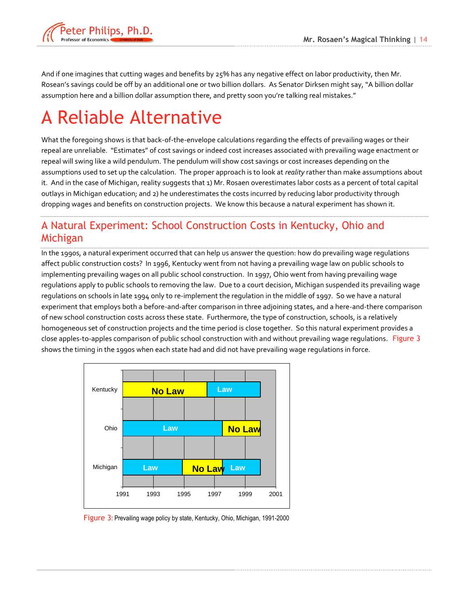

And if one imagines that cutting wages and benefits by 25% has any negative effect on labor productivity, then Mr. Rosean's savings could be off by an additional one or two billion dollars. As Senator Dirksen might say, "A billion dollar assumption here and a billion dollar assumption there, and pretty soon you're talking real mistakes."

# <span id="page-15-0"></span>A Reliable Alternative

What the foregoing shows is that back-of-the-envelope calculations regarding the effects of prevailing wages or their repeal are unreliable. "Estimates" of cost savings or indeed cost increases associated with prevailing wage enactment or repeal will swing like a wild pendulum. The pendulum will show cost savings or cost increases depending on the assumptions used to set up the calculation. The proper approach is to look at *reality* rather than make assumptions about it. And in the case of Michigan, reality suggests that 1) Mr. Rosaen overestimates labor costs as a percent of total capital outlays in Michigan education; and 2) he underestimates the costs incurred by reducing labor productivity through dropping wages and benefits on construction projects. We know this because a natural experiment has shown it.

### <span id="page-15-1"></span>A Natural Experiment: School Construction Costs in Kentucky, Ohio and Michigan

In the 1990s, a natural experiment occurred that can help us answer the question: how do prevailing wage regulations affect public construction costs? In 1996, Kentucky went from not having a prevailing wage law on public schools to implementing prevailing wages on all public school construction. In 1997, Ohio went from having prevailing wage regulations apply to public schools to removing the law. Due to a court decision, Michigan suspended its prevailing wage regulations on schools in late 1994 only to re-implement the regulation in the middle of 1997. So we have a natural experiment that employs both a before-and-after comparison in three adjoining states, and a here-and-there comparison of new school construction costs across these state. Furthermore, the type of construction, schools, is a relatively homogeneous set of construction projects and the time period is close together. So this natural experiment provides a close apples-to-apples comparison of public school construction with and without prevailing wage regulations. [Figure 3](#page-15-2) shows the timing in the 1990s when each state had and did not have prevailing wage regulations in force.



<span id="page-15-2"></span>Figure 3: Prevailing wage policy by state, Kentucky, Ohio, Michigan, 1991-2000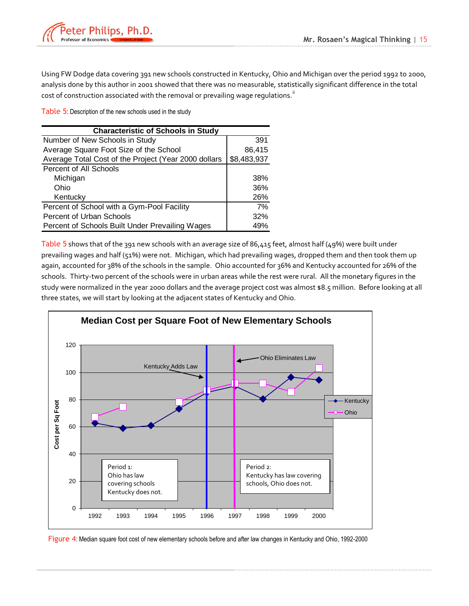

Using FW Dodge data covering 391 new schools constructed in Kentucky, Ohio and Michigan over the period 1992 to 2000, analysis done by this author in 2001 showed that there was no measurable, statistically significant difference in the total cost of construction associated with the removal or prevailing wage regulations."

<span id="page-16-0"></span>Table 5: Description of the new schools used in the study

| <b>Characteristic of Schools in Study</b>            |             |  |  |  |  |  |  |
|------------------------------------------------------|-------------|--|--|--|--|--|--|
| Number of New Schools in Study                       | 391         |  |  |  |  |  |  |
| Average Square Foot Size of the School               | 86,415      |  |  |  |  |  |  |
| Average Total Cost of the Project (Year 2000 dollars | \$8,483,937 |  |  |  |  |  |  |
| Percent of All Schools                               |             |  |  |  |  |  |  |
| Michigan                                             | 38%         |  |  |  |  |  |  |
| Ohio                                                 | 36%         |  |  |  |  |  |  |
| Kentucky                                             | 26%         |  |  |  |  |  |  |
| Percent of School with a Gym-Pool Facility           | 7%          |  |  |  |  |  |  |
| Percent of Urban Schools                             | 32%         |  |  |  |  |  |  |
| Percent of Schools Built Under Prevailing Wages      | 49%         |  |  |  |  |  |  |

[Table 5](#page-16-0) shows that of the 391 new schools with an average size of 86,415 feet, almost half (49%) were built under prevailing wages and half (51%) were not. Michigan, which had prevailing wages, dropped them and then took them up again, accounted for 38% of the schools in the sample. Ohio accounted for 36% and Kentucky accounted for 26% of the schools. Thirty-two percent of the schools were in urban areas while the rest were rural. All the monetary figures in the study were normalized in the year 2000 dollars and the average project cost was almost \$8.5 million. Before looking at all three states, we will start by looking at the adjacent states of Kentucky and Ohio.



<span id="page-16-1"></span>Figure 4: Median square foot cost of new elementary schools before and after law changes in Kentucky and Ohio, 1992-2000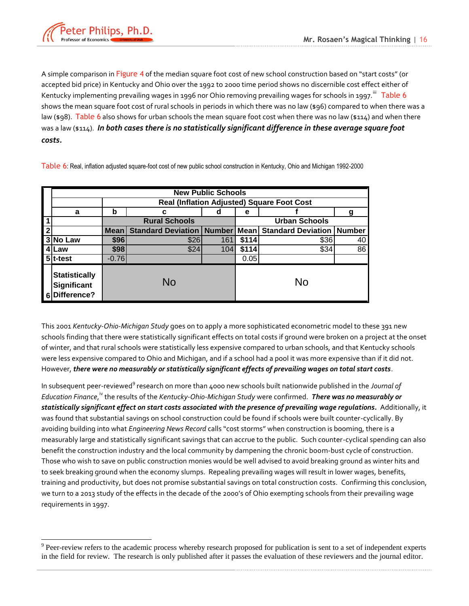

 $\overline{a}$ 

A simple comparison in [Figure 4](#page-16-1) of the median square foot cost of new school construction based on "start costs" (or accepted bid price) in Kentucky and Ohio over the 1992 to 2000 time period shows no discernible cost effect either of Kentucky implementing prevailing wages in 1996 nor Ohio removing prevailing wages for schools in 1997.  $^{\text{iii}}$  [Table 6](#page-17-0) shows the mean square foot cost of rural schools in periods in which there was no law (\$96) compared to when there was a law (\$98). [Table 6](#page-17-0) also shows for urban schools the mean square foot cost when there was no law (\$114) and when there was a law (\$114). *In both cases there is no statistically significant difference in these average square foot costs.*

<span id="page-17-0"></span>Table 6: Real, inflation adjusted square-foot cost of new public school construction in Kentucky, Ohio and Michigan 1992-2000

|              | <b>New Public Schools</b>                          |             |                                                   |     |       |                                         |    |  |  |  |
|--------------|----------------------------------------------------|-------------|---------------------------------------------------|-----|-------|-----------------------------------------|----|--|--|--|
|              |                                                    |             | <b>Real (Inflation Adjusted) Square Foot Cost</b> |     |       |                                         |    |  |  |  |
|              | a                                                  | b           | с                                                 | d   | е     |                                         | g  |  |  |  |
|              |                                                    |             | <b>Rural Schools</b>                              |     |       | <b>Urban Schools</b>                    |    |  |  |  |
| $\mathbf{2}$ |                                                    | <b>Mean</b> | <b>Standard Deviation   Number</b>                |     |       | <b>Mean</b> Standard Deviation   Number |    |  |  |  |
|              | 3 No Law                                           | \$96        | \$26                                              | 161 | \$114 | \$36                                    | 40 |  |  |  |
| 4            | Law                                                | \$98        | \$24                                              | 104 | \$114 | \$34                                    | 86 |  |  |  |
|              | 5 <sup>t-test</sup>                                | $-0.76$     |                                                   |     | 0.05  |                                         |    |  |  |  |
|              | <b>Statistically</b><br>Significant<br>Difference? |             | <b>No</b>                                         |     |       | <b>No</b>                               |    |  |  |  |

This 2001 *Kentucky-Ohio-Michigan Study* goes on to apply a more sophisticated econometric model to these 391 new schools finding that there were statistically significant effects on total costs if ground were broken on a project at the onset of winter, and that rural schools were statistically less expensive compared to urban schools, and that Kentucky schools were less expensive compared to Ohio and Michigan, and if a school had a pool it was more expensive than if it did not. However, *there were no measurably or statistically significant effects of prevailing wages on total start costs*.

In subsequent peer-reviewed<sup>9</sup> research on more than 4000 new schools built nationwide published in the *Journal of Education Finance*, <sup>iv</sup> the results of the *Kentucky-Ohio-Michigan Study* were confirmed. **There was no measurably or** *statistically significant effect on start costs associated with the presence of prevailing wage regulations.* Additionally, it was found that substantial savings on school construction could be found if schools were built counter-cyclically. By avoiding building into what *Engineering News Record* calls "cost storms" when construction is booming, there is a measurably large and statistically significant savings that can accrue to the public. Such counter-cyclical spending can also benefit the construction industry and the local community by dampening the chronic boom-bust cycle of construction. Those who wish to save on public construction monies would be well advised to avoid breaking ground as winter hits and to seek breaking ground when the economy slumps. Repealing prevailing wages will result in lower wages, benefits, training and productivity, but does not promise substantial savings on total construction costs. Confirming this conclusion, we turn to a 2013 study of the effects in the decade of the 2000's of Ohio exempting schools from their prevailing wage requirements in 1997.

<sup>&</sup>lt;sup>9</sup> Peer-review refers to the academic process whereby research proposed for publication is sent to a set of independent experts in the field for review. The research is only published after it passes the evaluation of these reviewers and the journal editor.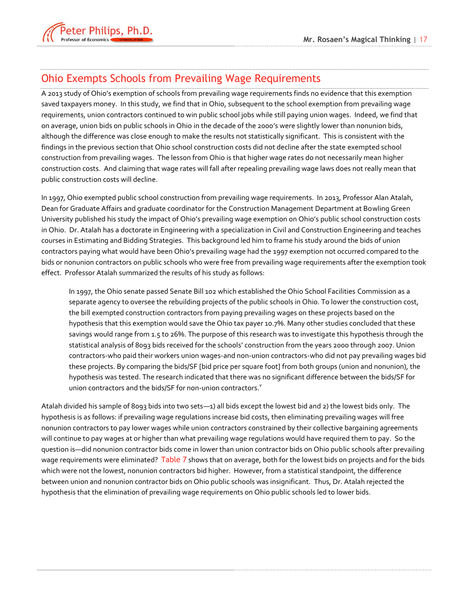

### <span id="page-18-0"></span>Ohio Exempts Schools from Prevailing Wage Requirements

A 2013 study of Ohio's exemption of schools from prevailing wage requirements finds no evidence that this exemption saved taxpayers money. In this study, we find that in Ohio, subsequent to the school exemption from prevailing wage requirements, union contractors continued to win public school jobs while still paying union wages. Indeed, we find that on average, union bids on public schools in Ohio in the decade of the 2000's were slightly lower than nonunion bids, although the difference was close enough to make the results not statistically significant. This is consistent with the findings in the previous section that Ohio school construction costs did not decline after the state exempted school construction from prevailing wages. The lesson from Ohio is that higher wage rates do not necessarily mean higher construction costs. And claiming that wage rates will fall after repealing prevailing wage laws does not really mean that public construction costs will decline.

In 1997, Ohio exempted public school construction from prevailing wage requirements. In 2013, Professor Alan Atalah, Dean for Graduate Affairs and graduate coordinator for the Construction Management Department at Bowling Green University published his study the impact of Ohio's prevailing wage exemption on Ohio's public school construction costs in Ohio. Dr. Atalah has a doctorate in Engineering with a specialization in Civil and Construction Engineering and teaches courses in Estimating and Bidding Strategies. This background led him to frame his study around the bids of union contractors paying what would have been Ohio's prevailing wage had the 1997 exemption not occurred compared to the bids or nonunion contractors on public schools who were free from prevailing wage requirements after the exemption took effect. Professor Atalah summarized the results of his study as follows:

In 1997, the Ohio senate passed Senate Bill 102 which established the Ohio School Facilities Commission as a separate agency to oversee the rebuilding projects of the public schools in Ohio. To lower the construction cost, the bill exempted construction contractors from paying prevailing wages on these projects based on the hypothesis that this exemption would save the Ohio tax payer 10.7%. Many other studies concluded that these savings would range from 1.5 to 26%. The purpose of this research was to investigate this hypothesis through the statistical analysis of 8093 bids received for the schools' construction from the years 2000 through 2007. Union contractors-who paid their workers union wages-and non-union contractors-who did not pay prevailing wages bid these projects. By comparing the bids/SF [bid price per square foot] from both groups (union and nonunion), the hypothesis was tested. The research indicated that there was no significant difference between the bids/SF for union contractors and the bids/SF for non-union contractors. $v^2$ 

Atalah divided his sample of 8093 bids into two sets—1) all bids except the lowest bid and 2) the lowest bids only. The hypothesis is as follows: if prevailing wage regulations increase bid costs, then eliminating prevailing wages will free nonunion contractors to pay lower wages while union contractors constrained by their collective bargaining agreements will continue to pay wages at or higher than what prevailing wage regulations would have required them to pay. So the question is—did nonunion contractor bids come in lower than union contractor bids on Ohio public schools after prevailing wage requirements were eliminated? [Table 7](#page-19-1) shows that on average, both for the lowest bids on projects and for the bids which were not the lowest, nonunion contractors bid higher. However, from a statistical standpoint, the difference between union and nonunion contractor bids on Ohio public schools was insignificant. Thus, Dr. Atalah rejected the hypothesis that the elimination of prevailing wage requirements on Ohio public schools led to lower bids.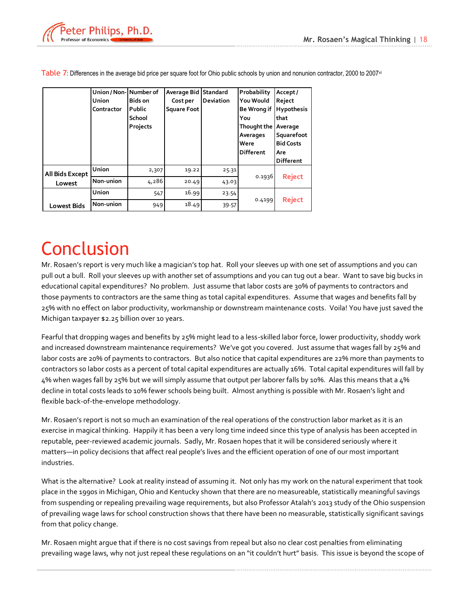

|                                                                                               | Union / Non-Number of<br>Union<br>Contractor | Bids on<br>Public<br>School<br>Projects | Average Bid Standard<br>Cost per<br><b>Square Foot</b> | Deviation | Probability<br>You Would<br>You<br>Thought the Average<br>Averages<br>Were<br><b>Different</b> | Accept/<br>Reject<br>Be Wrong if Hypothesis<br>that<br>Squarefoot<br><b>Bid Costs</b><br>Are<br>Different |                                                                                                                                                                                                                                                                                                                                                                                                                                                                                                                                                                                                                                                                                                                                                                                                                                                                                                                                                                                                                                                                                                                                                                                                                                                                     |
|-----------------------------------------------------------------------------------------------|----------------------------------------------|-----------------------------------------|--------------------------------------------------------|-----------|------------------------------------------------------------------------------------------------|-----------------------------------------------------------------------------------------------------------|---------------------------------------------------------------------------------------------------------------------------------------------------------------------------------------------------------------------------------------------------------------------------------------------------------------------------------------------------------------------------------------------------------------------------------------------------------------------------------------------------------------------------------------------------------------------------------------------------------------------------------------------------------------------------------------------------------------------------------------------------------------------------------------------------------------------------------------------------------------------------------------------------------------------------------------------------------------------------------------------------------------------------------------------------------------------------------------------------------------------------------------------------------------------------------------------------------------------------------------------------------------------|
|                                                                                               | Union                                        | 2,307                                   | 19.22                                                  | 25.31     |                                                                                                |                                                                                                           |                                                                                                                                                                                                                                                                                                                                                                                                                                                                                                                                                                                                                                                                                                                                                                                                                                                                                                                                                                                                                                                                                                                                                                                                                                                                     |
| All Bids Except<br>Lowest                                                                     | Non-union                                    | 4,286                                   | 20.49                                                  | 43.03     | 0.1936                                                                                         | <b>Reject</b>                                                                                             |                                                                                                                                                                                                                                                                                                                                                                                                                                                                                                                                                                                                                                                                                                                                                                                                                                                                                                                                                                                                                                                                                                                                                                                                                                                                     |
|                                                                                               | Union                                        | 547                                     | 16.99                                                  | 23.54     |                                                                                                |                                                                                                           |                                                                                                                                                                                                                                                                                                                                                                                                                                                                                                                                                                                                                                                                                                                                                                                                                                                                                                                                                                                                                                                                                                                                                                                                                                                                     |
| <b>Lowest Bids</b>                                                                            | Non-union                                    | 949                                     | 18.49                                                  | 39.57     | 0.4199                                                                                         | <b>Reject</b>                                                                                             |                                                                                                                                                                                                                                                                                                                                                                                                                                                                                                                                                                                                                                                                                                                                                                                                                                                                                                                                                                                                                                                                                                                                                                                                                                                                     |
| Michigan taxpayer \$2.25 billion over 10 years.<br>flexible back-of-the-envelope methodology. |                                              |                                         |                                                        |           |                                                                                                |                                                                                                           | pull out a bull. Roll your sleeves up with another set of assumptions and you can tug out a bear. Want to save big bucks in<br>educational capital expenditures? No problem. Just assume that labor costs are 30% of payments to contractors and<br>those payments to contractors are the same thing as total capital expenditures. Assume that wages and benefits fall by<br>25% with no effect on labor productivity, workmanship or downstream maintenance costs. Voila! You have just saved the<br>Fearful that dropping wages and benefits by 25% might lead to a less-skilled labor force, lower productivity, shoddy work<br>and increased downstream maintenance requirements? We've got you covered. Just assume that wages fall by 25% and<br>labor costs are 20% of payments to contractors. But also notice that capital expenditures are 22% more than payments to<br>contractors so labor costs as a percent of total capital expenditures are actually 16%. Total capital expenditures will fall by<br>4% when wages fall by 25% but we will simply assume that output per laborer falls by 10%. Alas this means that a 4%<br>decline in total costs leads to 10% fewer schools being built. Almost anything is possible with Mr. Rosaen's light and |
| industries.                                                                                   |                                              |                                         |                                                        |           |                                                                                                |                                                                                                           | Mr. Rosaen's report is not so much an examination of the real operations of the construction labor market as it is an<br>exercise in magical thinking. Happily it has been a very long time indeed since this type of analysis has been accepted in<br>reputable, peer-reviewed academic journals. Sadly, Mr. Rosaen hopes that it will be considered seriously where it<br>matters-in policy decisions that affect real people's lives and the efficient operation of one of our most important                                                                                                                                                                                                                                                                                                                                                                                                                                                                                                                                                                                                                                                                                                                                                                    |
| from that policy change.                                                                      |                                              |                                         |                                                        |           |                                                                                                |                                                                                                           | What is the alternative? Look at reality instead of assuming it. Not only has my work on the natural experiment that took<br>place in the 1990s in Michigan, Ohio and Kentucky shown that there are no measureable, statistically meaningful savings<br>from suspending or repealing prevailing wage requirements, but also Professor Atalah's 2013 study of the Ohio suspension<br>of prevailing wage laws for school construction shows that there have been no measurable, statistically significant savings                                                                                                                                                                                                                                                                                                                                                                                                                                                                                                                                                                                                                                                                                                                                                     |
|                                                                                               |                                              |                                         |                                                        |           |                                                                                                |                                                                                                           | Mr. Rosaen might argue that if there is no cost savings from repeal but also no clear cost penalties from eliminating<br>prevailing wage laws, why not just repeal these regulations on an "it couldn't hurt" basis. This issue is beyond the scope of                                                                                                                                                                                                                                                                                                                                                                                                                                                                                                                                                                                                                                                                                                                                                                                                                                                                                                                                                                                                              |

<span id="page-19-1"></span>Table 7: Differences in the average bid price per square foot for Ohio public schools by union and nonunion contractor, 2000 to 2007<sup>vi</sup>

### <span id="page-19-0"></span>**Conclusion**